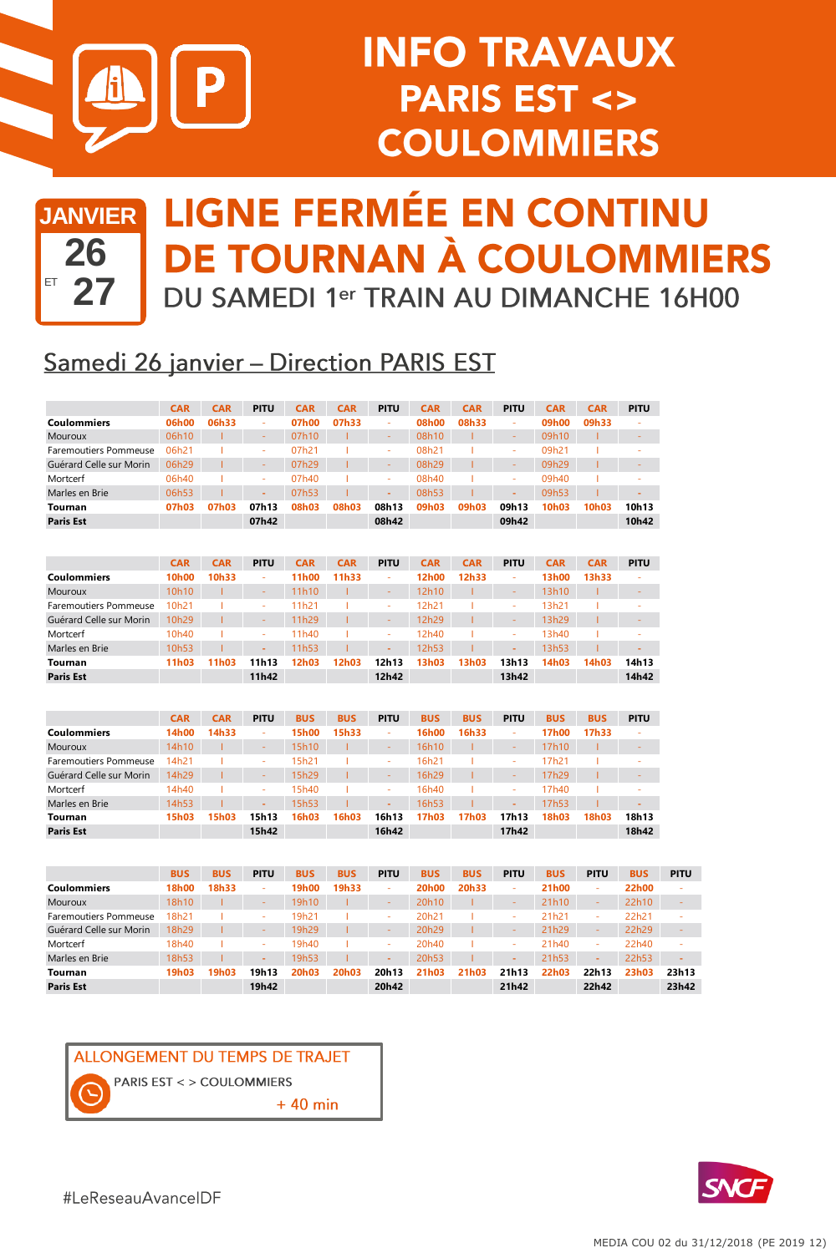

# **INFO TRAVAUX PARIS EST <> COULOMMIERS**

# **26** ET **27**

### **JANVIER LIGNE FERMÉE EN CONTINU DE TOURNAN À COULOMMIERS** DU SAMEDI 1er TRAIN AU DIMANCHE 16H00

#### **Samedi 26 janvier - Direction PARIS EST**

|                         | <b>CAR</b> | <b>CAR</b> | <b>PITU</b> | CAR   | <b>CAR</b> | <b>PITU</b> | <b>CAR</b> | <b>CAR</b> | <b>PITU</b>              | <b>CAR</b> | <b>CAR</b>         | <b>PITU</b> |
|-------------------------|------------|------------|-------------|-------|------------|-------------|------------|------------|--------------------------|------------|--------------------|-------------|
| <b>Coulommiers</b>      | 06h00      | 06h33      | <b>A</b>    | 07h00 | 07h33      | ۰           | 08h00      | 08h33      | ×                        | 09h00      | 09h33              | ۰           |
| <b>Mouroux</b>          | 06h10      |            | $\sim$      | 07h10 |            | -           | 08h10      |            | $\overline{\phantom{a}}$ | 09h10      |                    |             |
| Faremoutiers Pommeuse   | 06h21      |            | <b>A</b>    | 07h21 |            | ۰           | 08h21      |            | ×                        | 09h21      |                    | ۰           |
| Guérard Celle sur Morin | 06h29      |            | -           | 07h29 |            |             | 08h29      |            |                          | 09h29      |                    |             |
| Mortcerf                | 06h40      |            | <b>A</b>    | 07h40 |            | ۰           | 08h40      |            | ×                        | 09h40      |                    | ۰           |
| Marles en Brie          | 06h53      |            | $\sim$      | 07h53 |            |             | 08h53      |            |                          | 09h53      |                    | -           |
| Tournan                 | 07h03      | 07h03      | 07h13       | 08h03 | 08h03      | 08h13       | 09h03      | 09h03      | 09h13                    | 10h03      | 10 <sub>h</sub> 03 | 10h13       |
| <b>Paris Est</b>        |            |            | 07h42       |       |            | 08h42       |            |            | 09h42                    |            |                    | 10h42       |

|                         | <b>CAR</b>        | <b>CAR</b> | <b>PITU</b> | <b>CAR</b> | <b>CAR</b> | <b>PITU</b> | <b>CAR</b> | <b>CAR</b> | <b>PITU</b> | <b>CAR</b> | <b>CAR</b> | <b>PITU</b> |
|-------------------------|-------------------|------------|-------------|------------|------------|-------------|------------|------------|-------------|------------|------------|-------------|
| <b>Coulommiers</b>      | 10h00             | 10h33      |             | 11h00      | 11h33      | ٠           | 12h00      | 12h33      |             | 13h00      | 13h33      | ۰           |
| <b>Mouroux</b>          | 10h10             |            | -           | 11h10      |            | $\sim$      | 12h10      |            | $\sim$      | 13h10      |            | -           |
| Faremoutiers Pommeuse   | 10 <sub>h21</sub> |            | ٠           | 11h21      |            |             | 12h21      |            |             | 13h21      |            | ۰           |
| Guérard Celle sur Morin | 10h29             |            | $\sim$      | 11h29      |            |             | 12h29      |            | $\sim$      | 13h29      |            | -           |
| Mortcerf                | 10 <sub>h40</sub> |            | ٠           | 11h40      |            |             | 12h40      |            |             | 13h40      |            | ۰           |
| Marles en Brie          | 10h53             |            | ۰           | 11h53      |            |             | 12h53      |            |             | 13h53      |            |             |
| Tournan                 | 11h03             | 11h03      | 11h13       | 12h03      | 12h03      | 12h13       | 13h03      | 13h03      | 13h13       | 14h03      | 14h03      | 14h13       |
| <b>Paris Est</b>        |                   |            | 11h42       |            |            | 12h42       |            |            | 13h42       |            |            | 14h42       |

|                         | <b>CAR</b> | <b>CAR</b> | <b>PITU</b> | <b>BUS</b> | <b>BUS</b> | <b>PITU</b> | <b>BUS</b> | <b>BUS</b> | <b>PITU</b> | <b>BUS</b> | <b>BUS</b> | <b>PITU</b> |
|-------------------------|------------|------------|-------------|------------|------------|-------------|------------|------------|-------------|------------|------------|-------------|
| Coulommiers             | 14h00      | 14h33      |             | 15h00      | 15h33      | ٠           | 16h00      | 16h33      |             | 17h00      | 17h33      | ۰           |
| <b>Mouroux</b>          | 14h10      |            | $\sim$      | 15h10      |            | $\sim$      | 16h10      |            | $\sim$      | 17h10      |            | -           |
| Faremoutiers Pommeuse   | 14h21      |            | ٠           | 15h21      |            | ٠           | 16h21      |            |             | 17h21      |            | ۰           |
| Guérard Celle sur Morin | 14h29      |            | -           | 15h29      |            | $\sim$      | 16h29      |            | $\sim$      | 17h29      |            | -           |
| Mortcerf                | 14h40      |            | ×.          | 15h40      |            |             | 16h40      |            |             | 17h40      |            | ۰           |
| Marles en Brie          | 14h53      |            | ۰           | 15h53      |            |             | 16h53      |            |             | 17h53      |            | -           |
| Tournan                 | 15h03      | 15h03      | 15h13       | 16h03      | 16h03      | 16h13       | 17h03      | 17h03      | 17h13       | 18h03      | 18h03      | 18h13       |
| <b>Paris Est</b>        |            |            | 15h42       |            |            | 16h42       |            |            | 17h42       |            |            | 18h42       |

|                              | <b>BUS</b>   | <b>BUS</b> | <b>PITU</b> | <b>BUS</b> | <b>BUS</b>         | <b>PITU</b> | <b>BUS</b>        | <b>BUS</b> | <b>PITU</b> | <b>BUS</b> | <b>PITU</b> | <b>BUS</b> | <b>PITU</b> |
|------------------------------|--------------|------------|-------------|------------|--------------------|-------------|-------------------|------------|-------------|------------|-------------|------------|-------------|
| <b>Coulommiers</b>           | <b>18h00</b> | 18h33      | ×.          | 19h00      | 19h33              | ۰           | 20h00             | 20h33      |             | 21h00      | ×.          | 22h00      | ۰           |
| Mouroux                      | 18h10        |            | $\sim$      | 19h10      |                    | -           | 20h10             |            | -           | 21h10      |             | 22h10      |             |
| <b>Faremoutiers Pommeuse</b> | 18h21        |            |             | 19h21      |                    | -           | 20 <sub>h21</sub> |            |             | 21h21      |             | 22h21      | ۰           |
| Guérard Celle sur Morin      | 18h29        |            | $\sim$      | 19h29      |                    | -           | 20h29             |            | -           | 21h29      |             | 22h29      |             |
| Mortcerf                     | 18h40        |            |             | 19h40      |                    | -           | 20h40             |            |             | 21h40      |             | 22h40      |             |
| Marles en Brie               | 18h53        |            |             | 19h53      |                    | -           | 20h53             |            | -           | 21h53      | ٠           | 22h53      | -           |
| Tournan                      | 19h03        | 19h03      | 19h13       | 20h03      | 20 <sub>h</sub> 03 | 20h13       | 21h03             | 21h03      | 21h13       | 22h03      | 22h13       | 23h03      | 23h13       |
| <b>Paris Est</b>             |              |            | 19h42       |            |                    | 20h42       |                   |            | 21h42       |            | 22h42       |            | 23h42       |



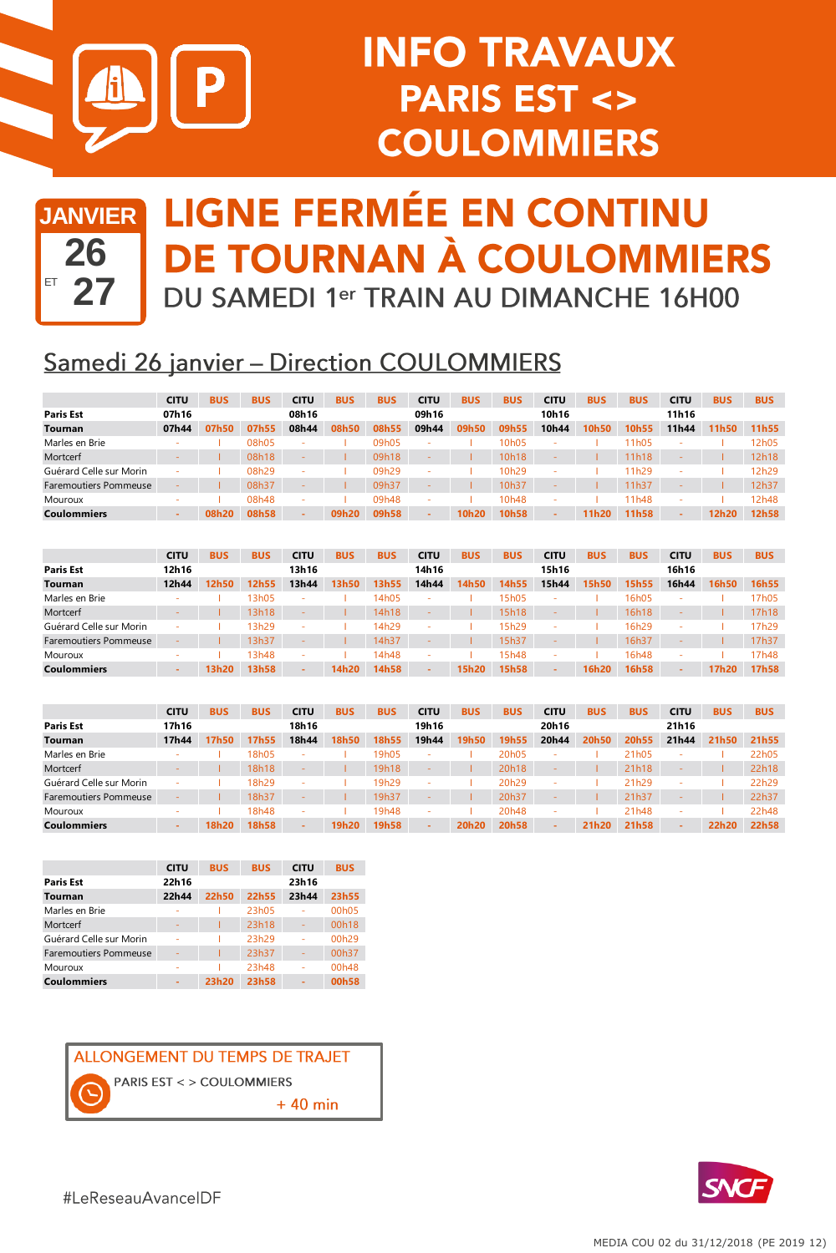

# **INFO TRAVAUX PARIS EST <> COULOMMIERS**



### **JANVIER LIGNE FERMÉE EN CONTINU DE TOURNAN À COULOMMIERS** DU SAMEDI 1er TRAIN AU DIMANCHE 16H00

#### **Samedi 26 janvier - Direction COULOMMIERS**

|                              | <b>CITU</b> | <b>BUS</b> | <b>BUS</b> | <b>CITU</b> | <b>BUS</b> | <b>BUS</b> | <b>CITU</b> | <b>BUS</b> | <b>BUS</b>        | <b>CITU</b> | <b>BUS</b> | <b>BUS</b> | <b>CITU</b> | <b>BUS</b> | <b>BUS</b> |
|------------------------------|-------------|------------|------------|-------------|------------|------------|-------------|------------|-------------------|-------------|------------|------------|-------------|------------|------------|
| <b>Paris Est</b>             | 07h16       |            |            | 08h16       |            |            | 09h16       |            |                   | 10h16       |            |            | 11h16       |            |            |
| <b>Tournan</b>               | 07h44       | 07h50      | 07h55      | 08h44       | 08h50      | 08h55      | 09h44       | 09h50      | 09h55             | 10h44       | 10h50      | 10h55      | 11h44       | 11h50      | 11h55      |
| Marles en Brie               |             |            | 08h05      | $\sim$      |            | 09h05      |             |            | 10h05             |             |            | 11h05      |             |            | 12h05      |
| Mortcerf                     |             |            | 08h18      |             |            | 09h18      |             |            | 10h18             |             |            | 11h18      |             |            | 12h18      |
| Guérard Celle sur Morin      |             |            | 08h29      |             |            | 09h29      |             |            | 10h29             | -           |            | 11h29      |             |            | 12h29      |
| <b>Faremoutiers Pommeuse</b> |             |            | 08h37      |             |            | 09h37      |             |            | 10h37             |             |            | 11h37      |             |            | 12h37      |
| Mouroux                      |             |            | 08h48      | $\sim$      |            | 09h48      | -           |            | 10 <sub>h48</sub> |             |            | 11h48      |             |            | 12h48      |
| <b>Coulommiers</b>           |             | 08h20      | 08h58      | -           | 09h20      | 09h58      | -           | 10h20      | 10h58             |             | 11h20      | 11h58      |             | 12h20      | 12h58      |
|                              |             |            |            |             |            |            |             |            |                   |             |            |            |             |            |            |

|                              | <b>CITU</b> | <b>BUS</b> | <b>BUS</b> | <b>CITU</b> | <b>BUS</b> | <b>BUS</b> | <b>CITU</b> | <b>BUS</b> | <b>BUS</b> | <b>CITU</b> | <b>BUS</b> | <b>BUS</b> | <b>CITU</b> | <b>BUS</b> | <b>BUS</b> |
|------------------------------|-------------|------------|------------|-------------|------------|------------|-------------|------------|------------|-------------|------------|------------|-------------|------------|------------|
| <b>Paris Est</b>             | 12h16       |            |            | 13h16       |            |            | 14h16       |            |            | 15h16       |            |            | 16h16       |            |            |
| <b>Tournan</b>               | 12h44       | 12h50      | 12h55      | 13h44       | 13h50      | 13h55      | 14h44       | 14h50      | 14h55      | 15h44       | 15h50      | 15h55      | 16h44       | 16h50      | 16h55      |
| Marles en Brie               |             |            | 13h05      | ٠           |            | 14h05      |             |            | 15h05      |             |            | 16h05      | ۰           |            | 7h05       |
| Mortcerf                     |             |            | 13h18      |             |            | 14h18      |             |            | 15h18      |             |            | 16h18      |             |            | 17h18      |
| Guérard Celle sur Morin      |             |            | 13h29      |             |            | 14h29      |             |            | 15h29      |             |            | 16h29      |             |            | 17h29      |
| <b>Faremoutiers Pommeuse</b> |             |            | 13h37      |             |            | 14h37      |             |            | 15h37      |             |            | 16h37      |             |            | 17h37      |
| Mouroux                      |             |            | 13h48      | -           |            | 14h48      |             |            | 15h48      |             |            | 16h48      |             |            | 17h48      |
| <b>Coulommiers</b>           | -           | 13h20      | 13h58      | -           | 14h20      | 14h58      |             | 15h20      | 15h58      | $\sim$      | 16h20      | 16h58      | -           | 17h20      | 17h58      |

|                              | <b>CITU</b>              | <b>BUS</b> | <b>BUS</b> | <b>CITU</b> | <b>BUS</b> | <b>BUS</b> | <b>CITU</b> | <b>BUS</b> | <b>BUS</b>        | <b>CITU</b> | <b>BUS</b> | <b>BUS</b> | <b>CITU</b> | <b>BUS</b> | <b>BUS</b> |
|------------------------------|--------------------------|------------|------------|-------------|------------|------------|-------------|------------|-------------------|-------------|------------|------------|-------------|------------|------------|
| <b>Paris Est</b>             | 17h16                    |            |            | 18h16       |            |            | 19h16       |            |                   | 20h16       |            |            | 21h16       |            |            |
| <b>Tournan</b>               | 17h44                    | 17h50      | 17h55      | 18h44       | 18h50      | 18h55      | 19h44       | 19h50      | 19h55             | 20h44       | 20h50      | 20h55      | 21h44       | 21h50      | 21h55      |
| Marles en Brie               |                          |            | 18h05      |             |            | 19h05      |             |            | 20h05             | -           |            | 21h05      |             |            | 22h05      |
| Mortcerf                     |                          |            | 18h18      |             |            | 19h18      |             |            | 20h18             |             |            | 21h18      |             |            | 22h18      |
| Guérard Celle sur Morin      |                          |            | 18h29      |             |            | 19h29      |             |            | 20h29             |             |            | 21h29      |             |            | 22h29      |
| <b>Faremoutiers Pommeuse</b> |                          |            | 18h37      |             |            | 19h37      |             |            | 20h37             |             |            | 21h37      |             |            | 22h37      |
| Mouroux                      | $\overline{\phantom{a}}$ |            | 18h48      |             |            | 19h48      | ۰           |            | 20 <sub>h48</sub> | -           |            | 21h48      |             |            | 22h48      |
| <b>Coulommiers</b>           |                          | 18h20      | 18h58      | $\sim$      | 19h20      | 19h58      |             | 20h20      | 20h58             |             | 21h20      | 21h58      |             | 22h20      | 22h58      |

|                              | <b>CITU</b> | <b>BUS</b> | <b>BUS</b> | <b>CITU</b> | <b>BUS</b>         |
|------------------------------|-------------|------------|------------|-------------|--------------------|
| <b>Paris Est</b>             | 22h16       |            |            | 23h16       |                    |
| Tournan                      | 22h44       | 22h50      | 22h55      | 23h44       | 23h55              |
| Marles en Brie               |             |            | 23h05      |             | 00h05              |
| Mortcerf                     | ۰           |            | 23h18      | -           | 00h18              |
| Guérard Celle sur Morin      | ٠           |            | 23h29      |             | 00h29              |
| <b>Faremoutiers Pommeuse</b> | ٠           |            | 23h37      |             | 00h37              |
| Mouroux                      | ۰           |            | 23h48      |             | 00 <sub>h</sub> 48 |
| <b>Coulommiers</b>           |             | 23h20      | 23h58      |             | 00h58              |